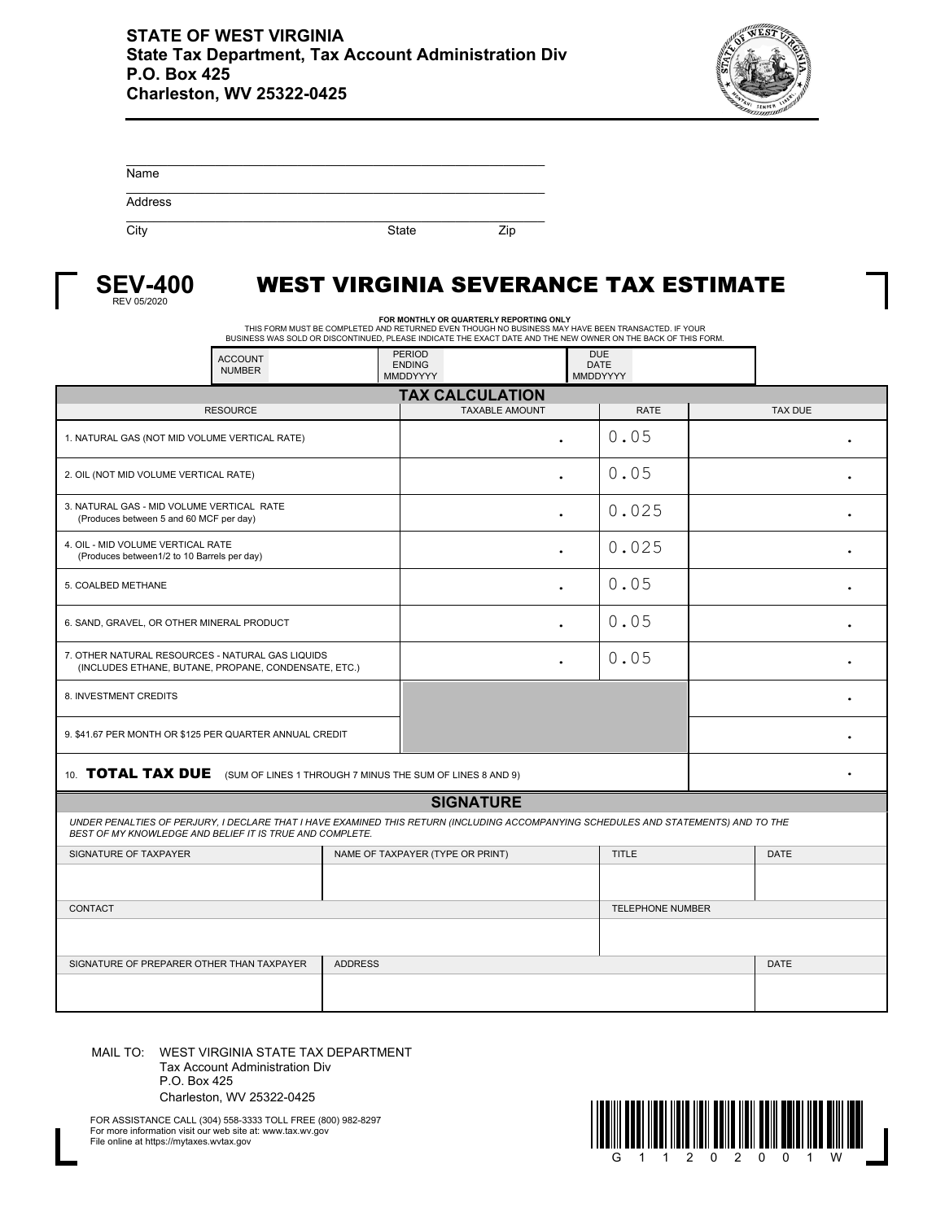

| Name    |              |     |
|---------|--------------|-----|
| Address |              |     |
| City    | <b>State</b> | Zip |



## WEST VIRGINIA SEVERANCE TAX ESTIMATE

FOR MONTHLY OR QUARTERLY REPORTING ONLY<br>THIS FORM MUST BE COMPLETED AND RETURNED EVEN THOUGH NO BUSINESS MAY HAVE BEEN TRANSACTED. IF YOUR<br>BUSINESS WAS SOLD OR DISCONTINUED, PLEASE INDICATE THE EXACT DATE AND THE NEW OWNER

| <b>ACCOUNT</b><br><b>NUMBER</b>                                                                                                                                                                 |                | <b>PERIOD</b><br><b>ENDING</b><br>MMDDYYYY | <b>DUE</b><br><b>DATE</b><br>MMDDYYYY |              |             |                |   |  |
|-------------------------------------------------------------------------------------------------------------------------------------------------------------------------------------------------|----------------|--------------------------------------------|---------------------------------------|--------------|-------------|----------------|---|--|
| <b>TAX CALCULATION</b>                                                                                                                                                                          |                |                                            |                                       |              |             |                |   |  |
| <b>RESOURCE</b>                                                                                                                                                                                 |                | <b>TAXABLE AMOUNT</b>                      |                                       | <b>RATE</b>  |             | <b>TAX DUE</b> |   |  |
| 1. NATURAL GAS (NOT MID VOLUME VERTICAL RATE)                                                                                                                                                   |                | $\bullet$                                  |                                       | 0.05         |             |                |   |  |
| 2. OIL (NOT MID VOLUME VERTICAL RATE)                                                                                                                                                           |                |                                            |                                       | 0.05         |             |                |   |  |
| 3. NATURAL GAS - MID VOLUME VERTICAL RATE<br>(Produces between 5 and 60 MCF per day)                                                                                                            |                | $\bullet$                                  |                                       | 0.025        |             |                | ٠ |  |
| 4. OIL - MID VOLUME VERTICAL RATE<br>(Produces between1/2 to 10 Barrels per day)                                                                                                                |                | $\bullet$                                  |                                       | 0.025        |             |                |   |  |
| 5. COALBED METHANE                                                                                                                                                                              |                | $\ddot{\phantom{0}}$                       |                                       | 0.05         |             |                |   |  |
| 6. SAND, GRAVEL, OR OTHER MINERAL PRODUCT                                                                                                                                                       |                |                                            |                                       | 0.05         |             |                |   |  |
| 7. OTHER NATURAL RESOURCES - NATURAL GAS LIQUIDS<br>(INCLUDES ETHANE, BUTANE, PROPANE, CONDENSATE, ETC.)                                                                                        |                | $\bullet$                                  |                                       | 0.05         |             |                |   |  |
| 8. INVESTMENT CREDITS                                                                                                                                                                           |                |                                            |                                       |              |             |                |   |  |
| 9. \$41.67 PER MONTH OR \$125 PER QUARTER ANNUAL CREDIT                                                                                                                                         |                |                                            |                                       |              |             |                |   |  |
| 10. TOTAL TAX DUE (SUM OF LINES 1 THROUGH 7 MINUS THE SUM OF LINES 8 AND 9)                                                                                                                     |                |                                            |                                       |              |             |                |   |  |
|                                                                                                                                                                                                 |                | <b>SIGNATURE</b>                           |                                       |              |             |                |   |  |
| UNDER PENALTIES OF PERJURY, I DECLARE THAT I HAVE EXAMINED THIS RETURN (INCLUDING ACCOMPANYING SCHEDULES AND STATEMENTS) AND TO THE<br>BEST OF MY KNOWLEDGE AND BELIEF IT IS TRUE AND COMPLETE. |                |                                            |                                       |              |             |                |   |  |
| SIGNATURE OF TAXPAYER                                                                                                                                                                           |                | NAME OF TAXPAYER (TYPE OR PRINT)           |                                       | <b>TITLE</b> |             | <b>DATE</b>    |   |  |
|                                                                                                                                                                                                 |                |                                            |                                       |              |             |                |   |  |
| <b>CONTACT</b>                                                                                                                                                                                  |                |                                            | <b>TELEPHONE NUMBER</b>               |              |             |                |   |  |
|                                                                                                                                                                                                 |                |                                            |                                       |              |             |                |   |  |
| SIGNATURE OF PREPARER OTHER THAN TAXPAYER                                                                                                                                                       | <b>ADDRESS</b> |                                            |                                       |              | <b>DATE</b> |                |   |  |
|                                                                                                                                                                                                 |                |                                            |                                       |              |             |                |   |  |

MAIL TO: WEST VIRGINIA STATE TAX DEPARTMENT Tax Account Administration Div P.O. Box 425 Charleston, WV 25322-0425

FOR ASSISTANCE CALL (304) 558-3333 TOLL FREE (800) 982-8297 For more information visit our web site at: www.tax.wv.gov File online at https://mytaxes.wvtax.gov